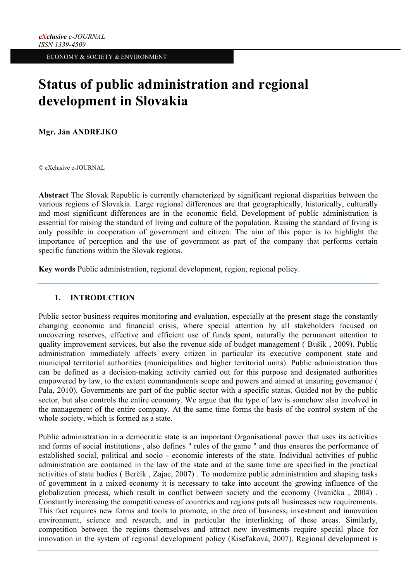# **Status of public administration and regional development in Slovakia**

**Mgr. Ján ANDREJKO**

© eXclusive e-JOURNAL

**Abstract** The Slovak Republic is currently characterized by significant regional disparities between the various regions of Slovakia. Large regional differences are that geographically, historically, culturally and most significant differences are in the economic field. Development of public administration is essential for raising the standard of living and culture of the population. Raising the standard of living is only possible in cooperation of government and citizen. The aim of this paper is to highlight the importance of perception and the use of government as part of the company that performs certain specific functions within the Slovak regions.

**Key words** Public administration, regional development, region, regional policy.

# **1. INTRODUCTION**

Public sector business requires monitoring and evaluation, especially at the present stage the constantly changing economic and financial crisis, where special attention by all stakeholders focused on uncovering reserves, effective and efficient use of funds spent, naturally the permanent attention to quality improvement services, but also the revenue side of budget management ( Bušík , 2009). Public administration immediately affects every citizen in particular its executive component state and municipal territorial authorities (municipalities and higher territorial units). Public administration thus can be defined as a decision-making activity carried out for this purpose and designated authorities empowered by law, to the extent commandments scope and powers and aimed at ensuring governance ( Pala, 2010). Governments are part of the public sector with a specific status. Guided not by the public sector, but also controls the entire economy. We argue that the type of law is somehow also involved in the management of the entire company. At the same time forms the basis of the control system of the whole society, which is formed as a state.

Public administration in a democratic state is an important Organisational power that uses its activities and forms of social institutions , also defines " rules of the game " and thus ensures the performance of established social, political and socio - economic interests of the state. Individual activities of public administration are contained in the law of the state and at the same time are specified in the practical activities of state bodies ( Berčík , Zajac, 2007) . To modernize public administration and shaping tasks of government in a mixed economy it is necessary to take into account the growing influence of the globalization process, which result in conflict between society and the economy (Ivanička , 2004) . Constantly increasing the competitiveness of countries and regions puts all businesses new requirements. This fact requires new forms and tools to promote, in the area of business, investment and innovation environment, science and research, and in particular the interlinking of these areas. Similarly, competition between the regions themselves and attract new investments require special place for innovation in the system of regional development policy (Kiseľaková, 2007). Regional development is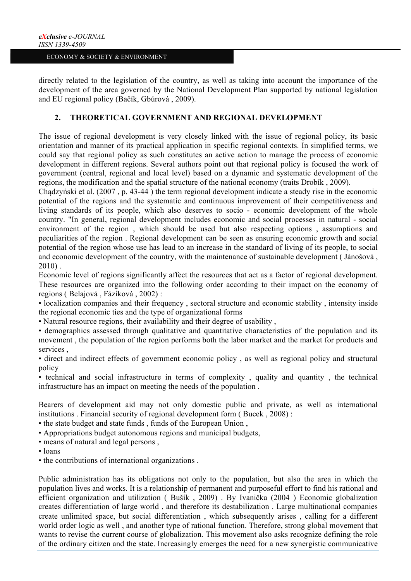directly related to the legislation of the country, as well as taking into account the importance of the development of the area governed by the National Development Plan supported by national legislation and EU regional policy (Bačík, Gbúrová , 2009).

## **2. THEORETICAL GOVERNMENT AND REGIONAL DEVELOPMENT**

The issue of regional development is very closely linked with the issue of regional policy, its basic orientation and manner of its practical application in specific regional contexts. In simplified terms, we could say that regional policy as such constitutes an active action to manage the process of economic development in different regions. Several authors point out that regional policy is focused the work of government (central, regional and local level) based on a dynamic and systematic development of the regions, the modification and the spatial structure of the national economy (traits Drobík , 2009).

Chądzyński et al. (2007 , p. 43-44 ) the term regional development indicate a steady rise in the economic potential of the regions and the systematic and continuous improvement of their competitiveness and living standards of its people, which also deserves to socio - economic development of the whole country. "In general, regional development includes economic and social processes in natural - social environment of the region , which should be used but also respecting options , assumptions and peculiarities of the region . Regional development can be seen as ensuring economic growth and social potential of the region whose use has lead to an increase in the standard of living of its people, to social and economic development of the country, with the maintenance of sustainable development ( Jánošová , 2010) .

Economic level of regions significantly affect the resources that act as a factor of regional development. These resources are organized into the following order according to their impact on the economy of regions ( Belajová , Fáziková , 2002) :

• localization companies and their frequency , sectoral structure and economic stability , intensity inside the regional economic ties and the type of organizational forms

• Natural resource regions, their availability and their degree of usability ,

• demographics assessed through qualitative and quantitative characteristics of the population and its movement , the population of the region performs both the labor market and the market for products and services ,

• direct and indirect effects of government economic policy , as well as regional policy and structural policy

• technical and social infrastructure in terms of complexity , quality and quantity , the technical infrastructure has an impact on meeting the needs of the population .

Bearers of development aid may not only domestic public and private, as well as international institutions . Financial security of regional development form ( Bucek , 2008) :

• the state budget and state funds , funds of the European Union ,

• Appropriations budget autonomous regions and municipal budgets,

- means of natural and legal persons ,
- loans
- the contributions of international organizations .

Public administration has its obligations not only to the population, but also the area in which the population lives and works. It is a relationship of permanent and purposeful effort to find his rational and efficient organization and utilization ( Bušík , 2009) . By Ivanička (2004 ) Economic globalization creates differentiation of large world , and therefore its destabilization . Large multinational companies create unlimited space, but social differentiation , which subsequently arises , calling for a different world order logic as well , and another type of rational function. Therefore, strong global movement that wants to revise the current course of globalization. This movement also asks recognize defining the role of the ordinary citizen and the state. Increasingly emerges the need for a new synergistic communicative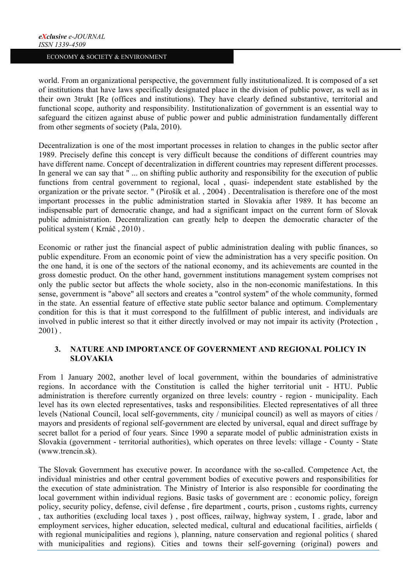world. From an organizational perspective, the government fully institutionalized. It is composed of a set of institutions that have laws specifically designated place in the division of public power, as well as in their own 3trukt [Re (offices and institutions). They have clearly defined substantive, territorial and functional scope, authority and responsibility. Institutionalization of government is an essential way to safeguard the citizen against abuse of public power and public administration fundamentally different from other segments of society (Pala, 2010).

Decentralization is one of the most important processes in relation to changes in the public sector after 1989. Precisely define this concept is very difficult because the conditions of different countries may have different name. Concept of decentralization in different countries may represent different processes. In general we can say that " ... on shifting public authority and responsibility for the execution of public functions from central government to regional, local , quasi- independent state established by the organization or the private sector. " (Pirošík et al. , 2004) . Decentralisation is therefore one of the most important processes in the public administration started in Slovakia after 1989. It has become an indispensable part of democratic change, and had a significant impact on the current form of Slovak public administration. Decentralization can greatly help to deepen the democratic character of the political system ( Krnáč , 2010) .

Economic or rather just the financial aspect of public administration dealing with public finances, so public expenditure. From an economic point of view the administration has a very specific position. On the one hand, it is one of the sectors of the national economy, and its achievements are counted in the gross domestic product. On the other hand, government institutions management system comprises not only the public sector but affects the whole society, also in the non-economic manifestations. In this sense, government is "above" all sectors and creates a "control system" of the whole community, formed in the state. An essential feature of effective state public sector balance and optimum. Complementary condition for this is that it must correspond to the fulfillment of public interest, and individuals are involved in public interest so that it either directly involved or may not impair its activity (Protection , 2001) .

## **3. NATURE AND IMPORTANCE OF GOVERNMENT AND REGIONAL POLICY IN SLOVAKIA**

From 1 January 2002, another level of local government, within the boundaries of administrative regions. In accordance with the Constitution is called the higher territorial unit - HTU. Public administration is therefore currently organized on three levels: country - region - municipality. Each level has its own elected representatives, tasks and responsibilities. Elected representatives of all three levels (National Council, local self-governments, city / municipal council) as well as mayors of cities / mayors and presidents of regional self-government are elected by universal, equal and direct suffrage by secret ballot for a period of four years. Since 1990 a separate model of public administration exists in Slovakia (government - territorial authorities), which operates on three levels: village - County - State (www.trencin.sk).

The Slovak Government has executive power. In accordance with the so-called. Competence Act, the individual ministries and other central government bodies of executive powers and responsibilities for the execution of state administration. The Ministry of Interior is also responsible for coordinating the local government within individual regions. Basic tasks of government are : economic policy, foreign policy, security policy, defense, civil defense , fire department , courts, prison , customs rights, currency , tax authorities (excluding local taxes ) , post offices, railway, highway system, I . grade, labor and employment services, higher education, selected medical, cultural and educational facilities, airfields ( with regional municipalities and regions ), planning, nature conservation and regional politics ( shared with municipalities and regions). Cities and towns their self-governing (original) powers and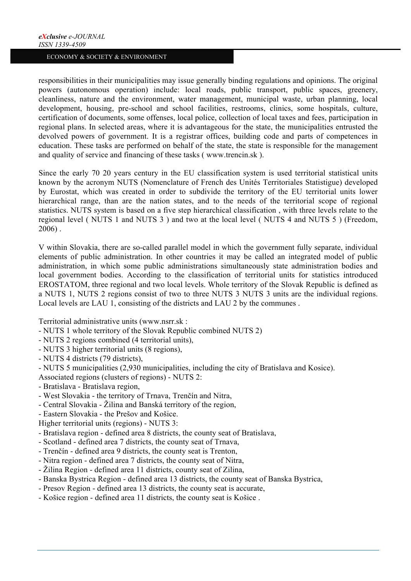responsibilities in their municipalities may issue generally binding regulations and opinions. The original powers (autonomous operation) include: local roads, public transport, public spaces, greenery, cleanliness, nature and the environment, water management, municipal waste, urban planning, local development, housing, pre-school and school facilities, restrooms, clinics, some hospitals, culture, certification of documents, some offenses, local police, collection of local taxes and fees, participation in regional plans. In selected areas, where it is advantageous for the state, the municipalities entrusted the devolved powers of government. It is a registrar offices, building code and parts of competences in education. These tasks are performed on behalf of the state, the state is responsible for the management and quality of service and financing of these tasks ( www.trencin.sk ).

Since the early 70 20 years century in the EU classification system is used territorial statistical units known by the acronym NUTS (Nomenclature of French des Unités Territoriales Statistigue) developed by Eurostat, which was created in order to subdivide the territory of the EU territorial units lower hierarchical range, than are the nation states, and to the needs of the territorial scope of regional statistics. NUTS system is based on a five step hierarchical classification , with three levels relate to the regional level ( NUTS 1 and NUTS 3 ) and two at the local level ( NUTS 4 and NUTS 5 ) (Freedom, 2006) .

V within Slovakia, there are so-called parallel model in which the government fully separate, individual elements of public administration. In other countries it may be called an integrated model of public administration, in which some public administrations simultaneously state administration bodies and local government bodies. According to the classification of territorial units for statistics introduced EROSTATOM, three regional and two local levels. Whole territory of the Slovak Republic is defined as a NUTS 1, NUTS 2 regions consist of two to three NUTS 3 NUTS 3 units are the individual regions. Local levels are LAU 1, consisting of the districts and LAU 2 by the communes .

Territorial administrative units (www.nsrr.sk :

- NUTS 1 whole territory of the Slovak Republic combined NUTS 2)
- NUTS 2 regions combined (4 territorial units),
- NUTS 3 higher territorial units (8 regions),
- NUTS 4 districts (79 districts),
- NUTS 5 municipalities (2,930 municipalities, including the city of Bratislava and Kosice).

Associated regions (clusters of regions) - NUTS 2:

- Bratislava Bratislava region,
- West Slovakia the territory of Trnava, Trenčín and Nitra,
- Central Slovakia Žilina and Banská territory of the region,
- Eastern Slovakia the Prešov and Košice.
- Higher territorial units (regions) NUTS 3:
- Bratislava region defined area 8 districts, the county seat of Bratislava,
- Scotland defined area 7 districts, the county seat of Trnava,
- Trenčín defined area 9 districts, the county seat is Trenton,
- Nitra region defined area 7 districts, the county seat of Nitra,
- Žilina Region defined area 11 districts, county seat of Zilina,
- Banska Bystrica Region defined area 13 districts, the county seat of Banska Bystrica,
- Presov Region defined area 13 districts, the county seat is accurate,
- Košice region defined area 11 districts, the county seat is Košice .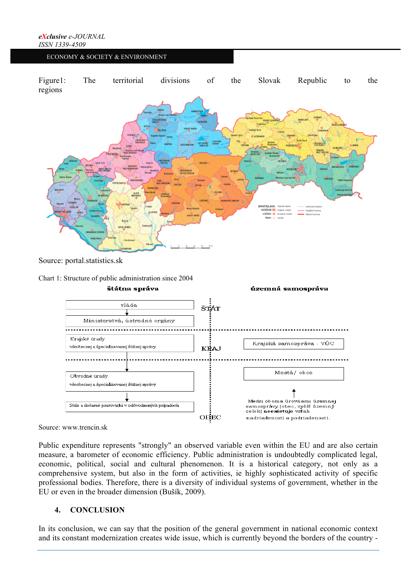

Source: www.trencin.sk

Public expenditure represents "strongly" an observed variable even within the EU and are also certain measure, a barometer of economic efficiency. Public administration is undoubtedly complicated legal, economic, political, social and cultural phenomenon. It is a historical category, not only as a comprehensive system, but also in the form of activities, ie highly sophisticated activity of specific professional bodies. Therefore, there is a diversity of individual systems of government, whether in the EU or even in the broader dimension (Bušík, 2009).

# **4. CONCLUSION**

In its conclusion, we can say that the position of the general government in national economic context and its constant modernization creates wide issue, which is currently beyond the borders of the country -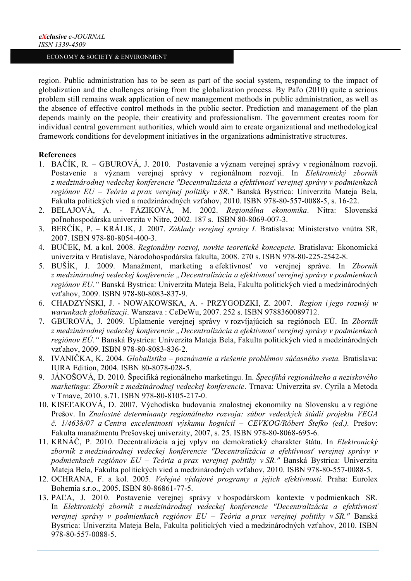region. Public administration has to be seen as part of the social system, responding to the impact of globalization and the challenges arising from the globalization process. By Paľo (2010) quite a serious problem still remains weak application of new management methods in public administration, as well as the absence of effective control methods in the public sector. Prediction and management of the plan depends mainly on the people, their creativity and professionalism. The government creates room for individual central government authorities, which would aim to create organizational and methodological framework conditions for development initiatives in the organizations administrative structures.

### **References**

- 1. BAČÍK, R. GBUROVÁ, J. 2010. Postavenie a význam verejnej správy v regionálnom rozvoji. Postavenie a význam verejnej správy v regionálnom rozvoji. In *Elektronický zborník z medzinárodnej vedeckej konferencie "Decentralizácia a efektívnosť verejnej správy v podmienkach regiónov EU – Teória a prax verejnej politiky v SR."* Banská Bystrica: Univerzita Mateja Bela, Fakulta politických vied a medzinárodných vzťahov, 2010. ISBN 978-80-557-0088-5, s. 16-22.
- 2. BELAJOVÁ, A. FÁZIKOVÁ, M. 2002. *Regionálna ekonomika*. Nitra: Slovenská poľnohospodárska univerzita v Nitre, 2002. 187 s. ISBN 80-8069-007-3.
- 3. BERČÍK, P. KRÁLIK, J. 2007. *Základy verejnej správy I.* Bratislava: Ministerstvo vnútra SR, 2007. ISBN 978-80-8054-400-3.
- 4. BUČEK, M. a kol. 2008. *Regionálny rozvoj, novšie teoretické koncepcie.* Bratislava: Ekonomická univerzita v Bratislave, Národohospodárska fakulta, 2008. 270 s. ISBN 978-80-225-2542-8.
- 5. BUŠÍK, J. 2009. Manažment, marketing a efektívnosť vo verejnej správe. In *Zborník z medzinárodnej vedeckej konferencie "Decentralizácia a efektívnosť verejnej správy v podmienkach regiónov EU."* Banská Bystrica: Univerzita Mateja Bela, Fakulta politických vied a medzinárodných vzťahov, 2009. ISBN 978-80-8083-837-9.
- 6. CHADZYŃSKI, J. NOWAKOWSKA, A. PRZYGODZKI, Z. 2007. *Region i jego rozwój w warunkach globalizacji*. Warszava : CeDeWu, 2007. 252 s. ISBN 9788360089712.
- 7. GBUROVÁ, J. 2009. Uplatnenie verejnej správy v rozvíjajúcich sa regiónoch EÚ. In *Zborník z medzinárodnej vedeckej konferencie "Decentralizácia a efektívnosť verejnej správy v podmienkach regiónov EÚ."* Banská Bystrica: Univerzita Mateja Bela, Fakulta politických vied a medzinárodných vzťahov, 2009. ISBN 978-80-8083-836-2.
- 8. IVANIČKA, K. 2004. *Globalistika – poznávanie a riešenie problémov súčasného sveta.* Bratislava: IURA Edition, 2004. ISBN 80-8078-028-5.
- 9. JÁNOŠOVÁ, D. 2010. Špecifiká regionálneho marketingu. In. *Špecifiká regionálneho a neziskového marketingu*: *Zborník z medzinárodnej vedeckej konferencie*. Trnava: Univerzita sv. Cyrila a Metoda v Trnave, 2010. s.71. ISBN 978-80-8105-217-0.
- 10. KISEĽAKOVÁ, D. 2007. Východiska budovania znalostnej ekonomiky na Slovensku a v regióne Prešov. In *Znalostné determinanty regionálneho rozvoja: súbor vedeckých štúdií projektu VEGA č. 1/4638/07 a Centra excelentnosti výskumu kognícií – CEVKOG/Róbert Štefko (ed.).* Prešov: Fakulta manažmentu Prešovskej univerzity, 2007, s. 25. ISBN 978-80-8068-695-6.
- 11. KRNÁČ, P. 2010. Decentralizácia a jej vplyv na demokratický charakter štátu. In *Elektronický zborník z medzinárodnej vedeckej konferencie "Decentralizácia a efektívnosť verejnej správy v podmienkach regiónov EU – Teória a prax verejnej politiky v SR."* Banská Bystrica: Univerzita Mateja Bela, Fakulta politických vied a medzinárodných vzťahov, 2010. ISBN 978-80-557-0088-5.
- 12. OCHRANA, F. a kol. 2005. *Veřejné výdajové programy a jejich efektivnosti.* Praha: Eurolex Bohemia s.r.o., 2005. ISBN 80-86861-77-5.
- 13. PAĽA, J. 2010. Postavenie verejnej správy v hospodárskom kontexte v podmienkach SR. In *Elektronický zborník z medzinárodnej vedeckej konferencie "Decentralizácia a efektívnosť verejnej správy v podmienkach regiónov EU – Teória a prax verejnej politiky v SR."* Banská Bystrica: Univerzita Mateja Bela, Fakulta politických vied a medzinárodných vzťahov, 2010. ISBN 978-80-557-0088-5.